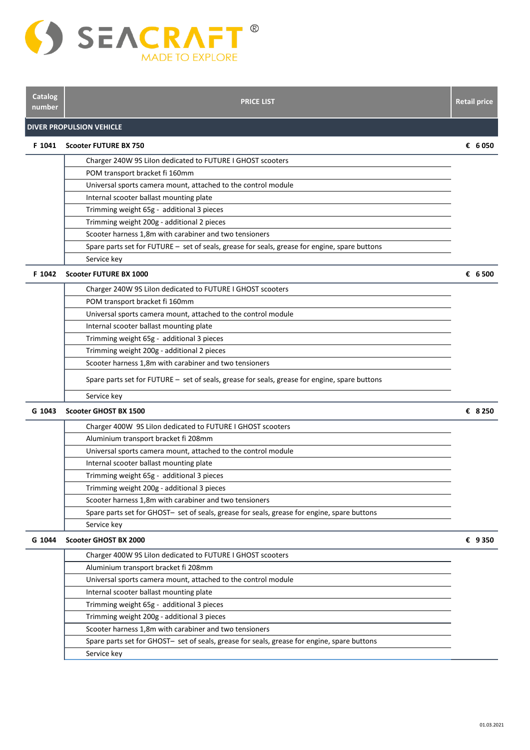

| <b>Catalog</b><br>number | <b>PRICE LIST</b>                                                                             | <b>Retail price</b> |
|--------------------------|-----------------------------------------------------------------------------------------------|---------------------|
|                          | <b>DIVER PROPULSION VEHICLE</b>                                                               |                     |
| F 1041                   | Scooter FUTURE BX 750                                                                         | € 6050              |
|                          | Charger 240W 9S Lilon dedicated to FUTURE I GHOST scooters                                    |                     |
|                          | POM transport bracket fi 160mm                                                                |                     |
|                          | Universal sports camera mount, attached to the control module                                 |                     |
|                          | Internal scooter ballast mounting plate                                                       |                     |
|                          | Trimming weight 65g - additional 3 pieces                                                     |                     |
|                          | Trimming weight 200g - additional 2 pieces                                                    |                     |
|                          | Scooter harness 1,8m with carabiner and two tensioners                                        |                     |
|                          | Spare parts set for FUTURE - set of seals, grease for seals, grease for engine, spare buttons |                     |
|                          | Service key                                                                                   |                     |
| F 1042                   | <b>Scooter FUTURE BX 1000</b>                                                                 | € 6500              |
|                          | Charger 240W 9S Lilon dedicated to FUTURE I GHOST scooters                                    |                     |
|                          | POM transport bracket fi 160mm                                                                |                     |
|                          | Universal sports camera mount, attached to the control module                                 |                     |
|                          | Internal scooter ballast mounting plate                                                       |                     |
|                          | Trimming weight 65g - additional 3 pieces                                                     |                     |
|                          | Trimming weight 200g - additional 2 pieces                                                    |                     |
|                          | Scooter harness 1,8m with carabiner and two tensioners                                        |                     |
|                          | Spare parts set for FUTURE - set of seals, grease for seals, grease for engine, spare buttons |                     |
|                          | Service key                                                                                   |                     |
| G 1043                   | Scooter GHOST BX 1500                                                                         | € 8250              |
|                          | Charger 400W 9S Lilon dedicated to FUTURE I GHOST scooters                                    |                     |
|                          | Aluminium transport bracket fi 208mm                                                          |                     |
|                          | Universal sports camera mount, attached to the control module                                 |                     |
|                          | Internal scooter ballast mounting plate                                                       |                     |
|                          | Trimming weight 65g - additional 3 pieces                                                     |                     |
|                          | Trimming weight 200g - additional 3 pieces                                                    |                     |
|                          | Scooter harness 1,8m with carabiner and two tensioners                                        |                     |
|                          | Spare parts set for GHOST- set of seals, grease for seals, grease for engine, spare buttons   |                     |
|                          | Service key                                                                                   |                     |
| G 1044                   | <b>Scooter GHOST BX 2000</b>                                                                  | € 9350              |
|                          | Charger 400W 9S Lilon dedicated to FUTURE I GHOST scooters                                    |                     |
|                          | Aluminium transport bracket fi 208mm                                                          |                     |
|                          | Universal sports camera mount, attached to the control module                                 |                     |
|                          | Internal scooter ballast mounting plate                                                       |                     |
|                          | Trimming weight 65g - additional 3 pieces                                                     |                     |
|                          | Trimming weight 200g - additional 3 pieces                                                    |                     |
|                          | Scooter harness 1,8m with carabiner and two tensioners                                        |                     |
|                          | Spare parts set for GHOST- set of seals, grease for seals, grease for engine, spare buttons   |                     |
|                          | Service key                                                                                   |                     |
|                          |                                                                                               |                     |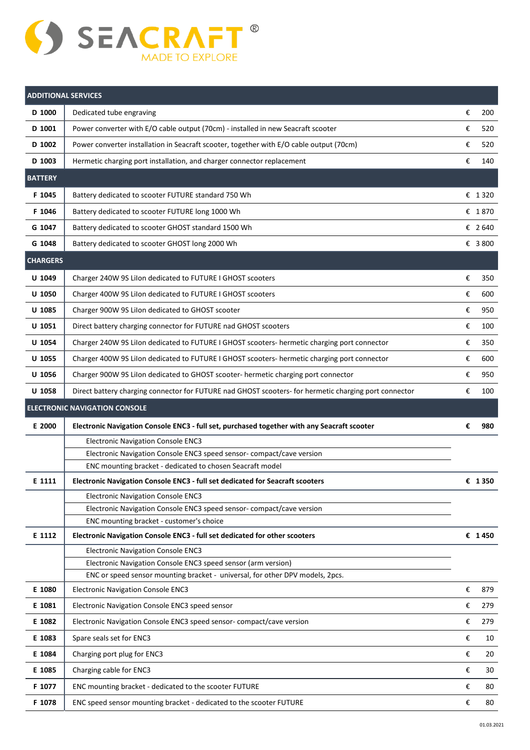

| <b>ADDITIONAL SERVICES</b> |                                                                                                                               |        |          |
|----------------------------|-------------------------------------------------------------------------------------------------------------------------------|--------|----------|
| D 1000                     | Dedicated tube engraving                                                                                                      | €      | 200      |
| D 1001                     | Power converter with E/O cable output (70cm) - installed in new Seacraft scooter                                              | €      | 520      |
| D 1002                     | Power converter installation in Seacraft scooter, together with E/O cable output (70cm)                                       | €      | 520      |
| D 1003                     | Hermetic charging port installation, and charger connector replacement                                                        | €      | 140      |
| <b>BATTERY</b>             |                                                                                                                               |        |          |
| F 1045                     | Battery dedicated to scooter FUTURE standard 750 Wh                                                                           |        | € 1320   |
| F 1046                     | Battery dedicated to scooter FUTURE long 1000 Wh                                                                              |        | € 1870   |
| G 1047                     | Battery dedicated to scooter GHOST standard 1500 Wh                                                                           |        | € 2640   |
| G 1048                     | Battery dedicated to scooter GHOST long 2000 Wh                                                                               |        | € 3800   |
| <b>CHARGERS</b>            |                                                                                                                               |        |          |
| U 1049                     | Charger 240W 9S Lilon dedicated to FUTURE I GHOST scooters                                                                    | €      | 350      |
| U 1050                     | Charger 400W 9S Lilon dedicated to FUTURE I GHOST scooters                                                                    | €      | 600      |
| U 1085                     | Charger 900W 9S Lilon dedicated to GHOST scooter                                                                              | €      | 950      |
| U 1051                     | Direct battery charging connector for FUTURE nad GHOST scooters                                                               | €      | 100      |
| U 1054                     | Charger 240W 9S Lilon dedicated to FUTURE I GHOST scooters- hermetic charging port connector                                  | €      | 350      |
| U 1055                     | Charger 400W 9S Lilon dedicated to FUTURE I GHOST scooters- hermetic charging port connector                                  | €      | 600      |
| U 1056                     | Charger 900W 9S Lilon dedicated to GHOST scooter- hermetic charging port connector                                            | €      | 950      |
| U 1058                     | Direct battery charging connector for FUTURE nad GHOST scooters- for hermetic charging port connector                         | €      | 100      |
|                            |                                                                                                                               |        |          |
|                            | <b>ELECTRONIC NAVIGATION CONSOLE</b>                                                                                          |        |          |
| E 2000                     | Electronic Navigation Console ENC3 - full set, purchased together with any Seacraft scooter                                   | €      | 980      |
|                            | <b>Electronic Navigation Console ENC3</b>                                                                                     |        |          |
|                            | Electronic Navigation Console ENC3 speed sensor-compact/cave version                                                          |        |          |
|                            | ENC mounting bracket - dedicated to chosen Seacraft model                                                                     |        |          |
| E 1111                     | Electronic Navigation Console ENC3 - full set dedicated for Seacraft scooters                                                 |        | € 1350   |
|                            | <b>Electronic Navigation Console ENC3</b><br>Electronic Navigation Console ENC3 speed sensor-compact/cave version             |        |          |
|                            | ENC mounting bracket - customer's choice                                                                                      |        |          |
| E 1112                     | Electronic Navigation Console ENC3 - full set dedicated for other scooters                                                    |        | € 1450   |
|                            | <b>Electronic Navigation Console ENC3</b>                                                                                     |        |          |
|                            | Electronic Navigation Console ENC3 speed sensor (arm version)                                                                 |        |          |
|                            | ENC or speed sensor mounting bracket - universal, for other DPV models, 2pcs.                                                 |        |          |
| E 1080                     | <b>Electronic Navigation Console ENC3</b>                                                                                     | €      | 879      |
| E 1081                     | Electronic Navigation Console ENC3 speed sensor                                                                               | €      | 279      |
| E 1082                     | Electronic Navigation Console ENC3 speed sensor-compact/cave version                                                          | €      | 279      |
| E 1083                     | Spare seals set for ENC3                                                                                                      | €      | 10       |
| E 1084                     | Charging port plug for ENC3                                                                                                   | €      | 20       |
| E 1085                     | Charging cable for ENC3                                                                                                       | €      | 30       |
| F 1077<br>F 1078           | ENC mounting bracket - dedicated to the scooter FUTURE<br>ENC speed sensor mounting bracket - dedicated to the scooter FUTURE | €<br>€ | 80<br>80 |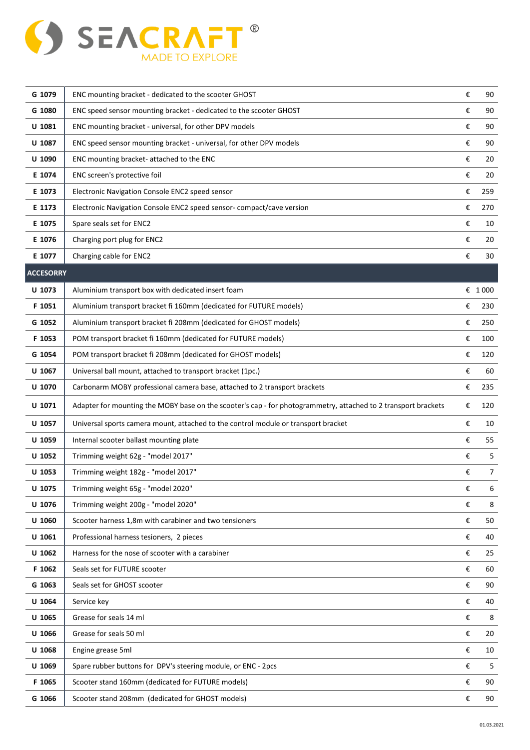

| G 1079           | ENC mounting bracket - dedicated to the scooter GHOST                                                          | €                       | 90     |
|------------------|----------------------------------------------------------------------------------------------------------------|-------------------------|--------|
| G 1080           | ENC speed sensor mounting bracket - dedicated to the scooter GHOST                                             | €                       | 90     |
| U 1081           | ENC mounting bracket - universal, for other DPV models                                                         | €                       | 90     |
| U 1087           | ENC speed sensor mounting bracket - universal, for other DPV models                                            | €                       | 90     |
| U 1090           | ENC mounting bracket-attached to the ENC                                                                       | €                       | 20     |
| E 1074           | ENC screen's protective foil                                                                                   | €                       | 20     |
| E 1073           | Electronic Navigation Console ENC2 speed sensor                                                                | €                       | 259    |
| E 1173           | Electronic Navigation Console ENC2 speed sensor-compact/cave version                                           | €                       | 270    |
| E 1075           | Spare seals set for ENC2                                                                                       | €                       | 10     |
| E 1076           | Charging port plug for ENC2                                                                                    | €                       | 20     |
| E 1077           | Charging cable for ENC2                                                                                        | €                       | 30     |
| <b>ACCESORRY</b> |                                                                                                                |                         |        |
| U 1073           | Aluminium transport box with dedicated insert foam                                                             |                         | € 1000 |
| F 1051           | Aluminium transport bracket fi 160mm (dedicated for FUTURE models)                                             | €                       | 230    |
| G 1052           | Aluminium transport bracket fi 208mm (dedicated for GHOST models)                                              | €                       | 250    |
| F 1053           | POM transport bracket fi 160mm (dedicated for FUTURE models)                                                   | €                       | 100    |
| G 1054           | POM transport bracket fi 208mm (dedicated for GHOST models)                                                    | €                       | 120    |
| U 1067           | Universal ball mount, attached to transport bracket (1pc.)                                                     | €                       | 60     |
| U 1070           | Carbonarm MOBY professional camera base, attached to 2 transport brackets                                      | €                       | 235    |
| U 1071           | Adapter for mounting the MOBY base on the scooter's cap - for photogrammetry, attached to 2 transport brackets | €                       | 120    |
| U 1057           | Universal sports camera mount, attached to the control module or transport bracket                             | €                       | 10     |
| U 1059           | Internal scooter ballast mounting plate                                                                        | €                       | 55     |
| U 1052           | Trimming weight 62g - "model 2017"                                                                             | €                       | 5      |
| U 1053           | Trimming weight 182g - "model 2017"                                                                            | €                       | 7      |
| U 1075           | Trimming weight 65g - "model 2020"                                                                             | €                       | 6      |
| U 1076           | Trimming weight 200g - "model 2020"                                                                            | €                       | 8      |
| U 1060           | Scooter harness 1,8m with carabiner and two tensioners                                                         | €                       | 50     |
| U 1061           | Professional harness tesioners, 2 pieces                                                                       | €                       | 40     |
| U 1062           | Harness for the nose of scooter with a carabiner                                                               | €                       | 25     |
| F 1062           | Seals set for FUTURE scooter                                                                                   | €                       | 60     |
| G 1063           | Seals set for GHOST scooter                                                                                    | €                       | 90     |
| U 1064           | Service key                                                                                                    | €                       | 40     |
| U 1065           | Grease for seals 14 ml                                                                                         | €                       | 8      |
| U 1066           | Grease for seals 50 ml                                                                                         | €                       | 20     |
| U 1068           | Engine grease 5ml                                                                                              | $\boldsymbol{\epsilon}$ | 10     |
| U 1069           | Spare rubber buttons for DPV's steering module, or ENC - 2pcs                                                  | €                       | 5      |
| F 1065           | Scooter stand 160mm (dedicated for FUTURE models)                                                              | €                       | 90     |
| G 1066           | Scooter stand 208mm (dedicated for GHOST models)                                                               | €                       | 90     |